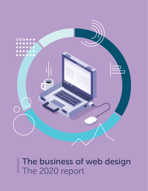

# The business of web design The 2020 report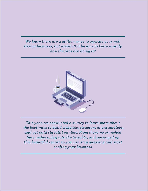### *We know there are a million ways to operate your web design business, but wouldn't it be nice to know exactly how the pros are doing it?*



*This year, we conducted a survey to learn more about the best ways to build websites, structure client services, and get paid (in full!) on time. From there we crunched the numbers, dug into the insights, and packaged up this beautiful report so you can stop guessing and start scaling your business.*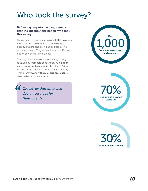## Who took the survey?

#### Before digging into the data, here's a little insight about the people who took this survey.

We gathered responses from over 1,000 creatives ranging from web designers or developers, agency owners, and do-it-all freelancers. The common thread: They're creatives who offer web design services for their clients.

The majority identified as freelancers, closely followed by members of agencies. **70% design** and develop websites, while the other 30% focus on one or the other (or other creative services). They mostly work with small business clients over mid-sized or enterprise.

*Creatives that offer web design services for their clients.* 





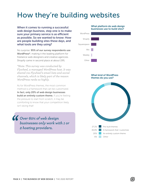## How they're building websites

When it comes to running a successful web design business, step one is to make sure your primary service is as efficient as possible. So we wanted to know: How are people building sites these days, and what tools are they using?

No surprise: 95% of our survey respondents use WordPress\*, making it the leading platform for freelance web designers and creative agencies. Shopify came in second place at about 19%.

*\*Note: This survey was conducted by Flywheel, a managed WordPress host. It was shared via Flywheel's email lists and social channels, which is likely part of the reason WordPress ranks so highly.*

As for WordPress themes, the most common method is a framework that can be customized. In fact, only 20% of web design businesses **build an entirely custom theme.** If you're feeling the pressure to start from scratch, it may be comforting to know that your competition likely isn't doing that!

*Over 60% of web design businesses only work with 1 or 2 hosting providers.*



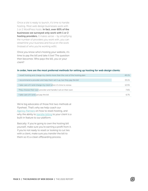Once a site is ready to launch, it's time to handle hosting. Most web design businesses work with 1 or 2 WordPress hosts. In fact, over 60% of the businesses we surveyed only work with 1 or 2 **hosting providers.** It makes sense – by simplifying the number of providers you work with, you can streamline your business and focus on the work (instead of who you're working with).

Once you know who's hosting your website, it's time to pay the bill and take it live! The question then becomes: Who pays the bill, you or your client?

#### In order, here are the most preferred methods for setting up hosting for web design clients:

| I resell hosting and charge my clients more than the cost of the hosting plan | 40.1% |
|-------------------------------------------------------------------------------|-------|
| I recommend a provider and help them set it up, but they pay the bill         | 33.1% |
| I take care of it and charge my client when it's time to renew                | 12.5% |
| They choose their own provider and handle it all on their own                 | 76%   |
| I take care of it and just pay the bill                                       | 6.7%  |

We're big advocates of those first two methods at Flywheel. That's why we help coach our Agency Partners on how to resell hosting, and why the ability to transfer billing to your client is a built-in feature to our platform.

Basically: If you're going to own the hosting bill yourself, make sure you're earning a profit from it. If you're not ready to resell or looking to cut ties with a client, make sure you transfer the bill to them so it's a clean offboarding process.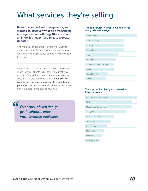## What services they're selling

Beyond standard web design work, we wanted to discover what else freelancers and agencies are offering. (Because we all know it's never "just an easy website update!")

The majority of the professionals we surveyed either currently offer additional types of creative work or are thinking about adding new services in the future.

If you have the bandwidth and the team to offer more for your clients, why not? It's a great way to diversify your income to create new revenue streams. We also love seeing that over 80% of web design professionals also offer maintenance packages, because it's one of the easiest ways to generate monthly recurring revenue!

*Over 80% of web design professionals offer maintenance packages*

#### The top services currently being offered alongside web design:

| Maintenance                     |
|---------------------------------|
| Graphic Design                  |
| Hosting                         |
| Consulting                      |
| <b>SEO</b>                      |
| Branding                        |
| <b>Content/Content Strategy</b> |
| Marketing                       |
| Social Media                    |
| Analytics                       |

#### The top services being considered as future services:

| <b>Content/Content Strategy</b> |  |
|---------------------------------|--|
| <b>SEO</b>                      |  |
|                                 |  |
| Mobile app development          |  |
| Analytics                       |  |
| Video production                |  |
| Social media                    |  |
|                                 |  |
| Consulting                      |  |
| Marketing                       |  |
| Hosting                         |  |
| Photography                     |  |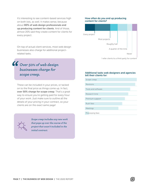It's interesting to see content-based services high on both lists, as well. It makes sense, because about 80% of web design professionals end up producing content for clients. And of those, almost 20% said they create content for clients for every project.

On top of actual client services, most web design businesses also charge for additional projectrelated tasks.

### *Over 50% of web design businesses charge for scope creep.*

These can be included in your prices, or tacked on to the final price as things come up. In fact, over 50% charge for scope creep. That's a great way to ensure you're getting paid for every hour of your work. Just make sure to outline all the details of your pricing in your contract, so your clients are on the exact same page!



*Scope creep includes any new work that pops up over the course of the project that wasn't included in the initial contract.*

#### How often do you end up producing content for clients?



I refer clients to a third-party for content

#### Additional tasks web designers and agencies bill their clients for:

| Scope creep        |
|--------------------|
|                    |
| Revisions          |
|                    |
| Tools and software |
|                    |
| Research time      |
|                    |
| Premium support    |
|                    |
| Rush fees          |
|                    |
| Meetings           |
|                    |
| Processing fees    |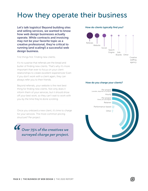## How they operate their business

Let's talk logistics! Beyond building sites and selling services, we wanted to know how web design businesses actually operate. While contracts and invoicing may not be your favorite topic as a creative professional, they're critical to running (and scaling!) a successful web design business.

First things first: Finding new clients.

It's no surprise that referrals are the bread and butter of finding new clients. That's why it's more important than ever to focus on your client relationships to create excellent experiences! Even if you don't work with a client again, they can always refer you to their friends.

Beyond referrals, your website is the next best thing for finding new clients. Not only does it inform them of your services, but it should show off your best work, so they can't wait to work with you by the time they're done scrolling.

Once you onboard a new client, it's time to charge for your services. The most common pricing structure? Per project.

*Over 75% of the creatives we surveyed charge per project.*

#### How do clients typically find you?



#### How do you charge your clients?

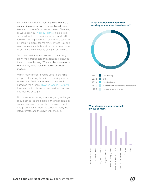Something we found surprising: Less than 40% are earning money from retainer-based work. We're advocates of this method here at Flywheel, as we've seen our **Agency Partners** have a lot of success thanks to recurring revenue models like reselling hosting or selling maintenance packages. By charging clients for monthly services, you can start to create a reliable and stable income, on top of all the new work you're charging per project.

So, if retainer-based models are so great, why aren't more freelancers and agencies structuring their business that way? The number one reason: Uncertainty about retainer-based business models.

Which makes sense. If you're used to charging per project, making the shift to recurring revenue streams can feel like a large mountain to climb. Based on the success **Flywheel Agency Partners** have seen with it, however, we can't recommend this method enough!

No matter what pricing structure you go with, you should list out all the details in the initial contract and/or proposal. The top three items on a web design contract include: the scope of work, the rate/estimate, and the payment schedule.

#### What has prevented you from moving to a retainer based model?



#### What clauses do your contracts always contain?

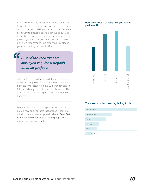As for timelines, we weren't surprised to learn that 80% of the creatives we surveyed require a deposit on most projects. Asking for a deposit up front is a great way to ensure a client is serious about working with you and a great way to make sure you get paid for your time. (If you're part of the 20% who don't, we recommend implementing this step in your onboarding process ASAP!)

### *80% of the creatives we surveyed require a deposit on most projects.*

72

After getting that initial deposit, the average time it takes to get paid in full is 2-4 weeks. We were definitely impressed with the 20% that get paid in full immediately on project launch, however. They waste no time collecting the paycheck for their hard work!

When it comes to invoicing software, there are quite a few popular tools that probably come to mind. What we were surprised to learn: Over 38% don't use the most popular billing apps. That's a pretty significant amount!

#### How long does it usually take you to get paid in full?



#### The most popular invoicing/billing tools:

| Quickbooks   |  |  |  |
|--------------|--|--|--|
| Freshbooks   |  |  |  |
| Wave         |  |  |  |
| Harvest      |  |  |  |
| Xero         |  |  |  |
| Zoho Invoice |  |  |  |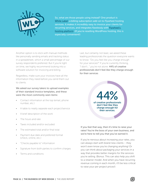

So, what are those people using instead? One product is White Label, a billing subscription add-on to Flywheel hosting services. It makes it incredibly easy to invoice your clients for recurring services, and integrates flawlessly with **Flywheel's** hosting platform. (If you're reselling WordPress hosting, this is especially convenient!)

Another option is to stick with manual methods like personally sending emails and tracking status in a spreadsheet, which a small percentage of our survey respondents preferred. But if you're tight on time, we highly recommend looking into a software solution for invoicing and billing.

Regardless, make sure your invoices have all the information they need before you send them out to clients.

We asked our survey takers to upload examples of their standard invoice templates, and these were the most commonly seen items:

- Contact information at the top (email, phone number, etc.)
- A table to neatly separate each project/service
- A brief description of the work
- The hours and rate
- Taxes included and/or excluded
- The estimated total and/or final total
- Payment due date and preferred format (check, online, etc.)
- "Checks payable to" information
- Signature from both parties to confirm charges
- Terms and conditions

Last, but certainly not least, we asked these leading professionals the question everyone wants to know: "Do you feel like you charge enough for your services?" If you're currently thinking, "I don't…" you're not alone. 44% of creative professionals don't feel like they charge enough for their services

If you feel that way, then it's time to raise your rates! You're the boss of your own business, and we're here to tell you that you've earned it.

of creative professionals

don't feel like they charge enough for their services.

44%

If you're nervous about increasing your rates, you can always start with brand new clients – they won't even know you're changing anything! Or you can think about packaging your services in a way that provides better margins for the services you're selling. (Bonus: This can also help you shift to a retainer model. And when you have recurring revenue coming in each month, it'll be less critical to raise your per project prices!)